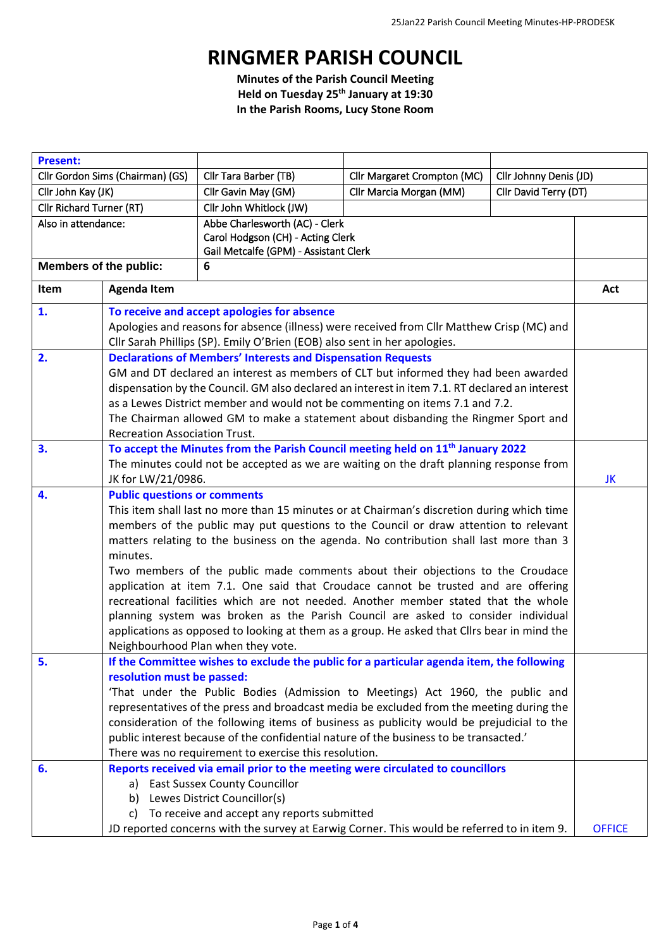## **RINGMER PARISH COUNCIL**

**Minutes of the Parish Council Meeting Held on Tuesday 25th January at 19:30 In the Parish Rooms, Lucy Stone Room**

| <b>Present:</b>                  |                                      |                                                                                                                                                                            |                                                                                                                                                                                    |                        |               |  |
|----------------------------------|--------------------------------------|----------------------------------------------------------------------------------------------------------------------------------------------------------------------------|------------------------------------------------------------------------------------------------------------------------------------------------------------------------------------|------------------------|---------------|--|
| Cllr Gordon Sims (Chairman) (GS) |                                      | Cllr Tara Barber (TB)                                                                                                                                                      | Cllr Margaret Crompton (MC)                                                                                                                                                        | Cllr Johnny Denis (JD) |               |  |
| Cllr John Kay (JK)               |                                      | Cllr Gavin May (GM)                                                                                                                                                        | Cllr Marcia Morgan (MM)                                                                                                                                                            | Cllr David Terry (DT)  |               |  |
| Cllr Richard Turner (RT)         |                                      | Cllr John Whitlock (JW)                                                                                                                                                    |                                                                                                                                                                                    |                        |               |  |
| Also in attendance:              |                                      | Abbe Charlesworth (AC) - Clerk                                                                                                                                             |                                                                                                                                                                                    |                        |               |  |
|                                  |                                      | Carol Hodgson (CH) - Acting Clerk                                                                                                                                          |                                                                                                                                                                                    |                        |               |  |
|                                  |                                      | Gail Metcalfe (GPM) - Assistant Clerk                                                                                                                                      |                                                                                                                                                                                    |                        |               |  |
| <b>Members of the public:</b>    |                                      | 6                                                                                                                                                                          |                                                                                                                                                                                    |                        |               |  |
| Item                             | <b>Agenda Item</b>                   |                                                                                                                                                                            |                                                                                                                                                                                    |                        | Act           |  |
| 1.                               |                                      | To receive and accept apologies for absence                                                                                                                                |                                                                                                                                                                                    |                        |               |  |
|                                  |                                      | Apologies and reasons for absence (illness) were received from Cllr Matthew Crisp (MC) and                                                                                 |                                                                                                                                                                                    |                        |               |  |
|                                  |                                      | Cllr Sarah Phillips (SP). Emily O'Brien (EOB) also sent in her apologies.                                                                                                  |                                                                                                                                                                                    |                        |               |  |
| 2.                               |                                      | <b>Declarations of Members' Interests and Dispensation Requests</b>                                                                                                        |                                                                                                                                                                                    |                        |               |  |
|                                  |                                      | GM and DT declared an interest as members of CLT but informed they had been awarded                                                                                        |                                                                                                                                                                                    |                        |               |  |
|                                  |                                      | dispensation by the Council. GM also declared an interest in item 7.1. RT declared an interest                                                                             |                                                                                                                                                                                    |                        |               |  |
|                                  |                                      | as a Lewes District member and would not be commenting on items 7.1 and 7.2.                                                                                               |                                                                                                                                                                                    |                        |               |  |
|                                  |                                      | The Chairman allowed GM to make a statement about disbanding the Ringmer Sport and                                                                                         |                                                                                                                                                                                    |                        |               |  |
|                                  | <b>Recreation Association Trust.</b> |                                                                                                                                                                            |                                                                                                                                                                                    |                        |               |  |
| 3.                               |                                      |                                                                                                                                                                            | To accept the Minutes from the Parish Council meeting held on 11 <sup>th</sup> January 2022                                                                                        |                        |               |  |
|                                  |                                      | The minutes could not be accepted as we are waiting on the draft planning response from                                                                                    |                                                                                                                                                                                    |                        |               |  |
|                                  | JK for LW/21/0986.                   |                                                                                                                                                                            |                                                                                                                                                                                    |                        | JK            |  |
| 4.                               | <b>Public questions or comments</b>  |                                                                                                                                                                            |                                                                                                                                                                                    |                        |               |  |
|                                  |                                      | This item shall last no more than 15 minutes or at Chairman's discretion during which time                                                                                 |                                                                                                                                                                                    |                        |               |  |
|                                  |                                      | members of the public may put questions to the Council or draw attention to relevant                                                                                       |                                                                                                                                                                                    |                        |               |  |
|                                  | minutes.                             | matters relating to the business on the agenda. No contribution shall last more than 3                                                                                     |                                                                                                                                                                                    |                        |               |  |
|                                  |                                      | Two members of the public made comments about their objections to the Croudace                                                                                             |                                                                                                                                                                                    |                        |               |  |
|                                  |                                      | application at item 7.1. One said that Croudace cannot be trusted and are offering                                                                                         |                                                                                                                                                                                    |                        |               |  |
|                                  |                                      | recreational facilities which are not needed. Another member stated that the whole                                                                                         |                                                                                                                                                                                    |                        |               |  |
|                                  |                                      | planning system was broken as the Parish Council are asked to consider individual                                                                                          |                                                                                                                                                                                    |                        |               |  |
|                                  |                                      |                                                                                                                                                                            | applications as opposed to looking at them as a group. He asked that Cllrs bear in mind the                                                                                        |                        |               |  |
|                                  |                                      | Neighbourhood Plan when they vote.                                                                                                                                         |                                                                                                                                                                                    |                        |               |  |
| 5.                               |                                      |                                                                                                                                                                            | If the Committee wishes to exclude the public for a particular agenda item, the following                                                                                          |                        |               |  |
|                                  | resolution must be passed:           |                                                                                                                                                                            |                                                                                                                                                                                    |                        |               |  |
|                                  |                                      | 'That under the Public Bodies (Admission to Meetings) Act 1960, the public and<br>representatives of the press and broadcast media be excluded from the meeting during the |                                                                                                                                                                                    |                        |               |  |
|                                  |                                      |                                                                                                                                                                            |                                                                                                                                                                                    |                        |               |  |
|                                  |                                      |                                                                                                                                                                            | consideration of the following items of business as publicity would be prejudicial to the<br>public interest because of the confidential nature of the business to be transacted.' |                        |               |  |
|                                  |                                      | There was no requirement to exercise this resolution.                                                                                                                      |                                                                                                                                                                                    |                        |               |  |
| 6.                               |                                      |                                                                                                                                                                            | Reports received via email prior to the meeting were circulated to councillors                                                                                                     |                        |               |  |
|                                  | a)                                   | <b>East Sussex County Councillor</b>                                                                                                                                       |                                                                                                                                                                                    |                        |               |  |
|                                  | b)                                   | Lewes District Councillor(s)                                                                                                                                               |                                                                                                                                                                                    |                        |               |  |
|                                  | C)                                   | To receive and accept any reports submitted                                                                                                                                |                                                                                                                                                                                    |                        |               |  |
|                                  |                                      |                                                                                                                                                                            | JD reported concerns with the survey at Earwig Corner. This would be referred to in item 9.                                                                                        |                        | <b>OFFICE</b> |  |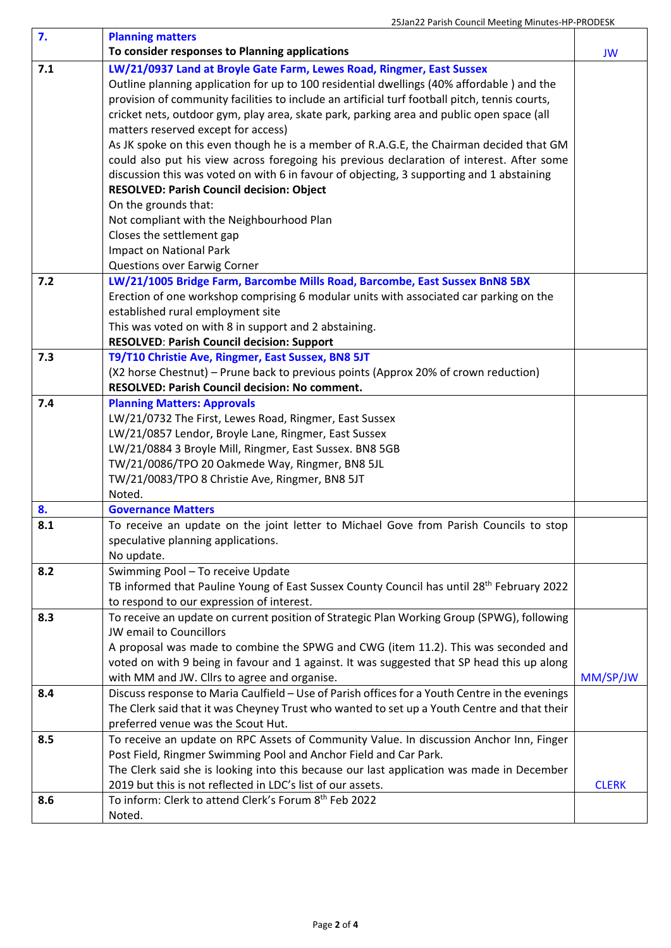| 7.  | <b>Planning matters</b>                                                                                                                            |              |
|-----|----------------------------------------------------------------------------------------------------------------------------------------------------|--------------|
|     | To consider responses to Planning applications                                                                                                     | JW           |
| 7.1 | LW/21/0937 Land at Broyle Gate Farm, Lewes Road, Ringmer, East Sussex                                                                              |              |
|     | Outline planning application for up to 100 residential dwellings (40% affordable) and the                                                          |              |
|     | provision of community facilities to include an artificial turf football pitch, tennis courts,                                                     |              |
|     | cricket nets, outdoor gym, play area, skate park, parking area and public open space (all                                                          |              |
|     | matters reserved except for access)                                                                                                                |              |
|     | As JK spoke on this even though he is a member of R.A.G.E, the Chairman decided that GM                                                            |              |
|     | could also put his view across foregoing his previous declaration of interest. After some                                                          |              |
|     | discussion this was voted on with 6 in favour of objecting, 3 supporting and 1 abstaining                                                          |              |
|     | RESOLVED: Parish Council decision: Object                                                                                                          |              |
|     | On the grounds that:                                                                                                                               |              |
|     | Not compliant with the Neighbourhood Plan                                                                                                          |              |
|     | Closes the settlement gap                                                                                                                          |              |
|     | Impact on National Park                                                                                                                            |              |
|     | Questions over Earwig Corner                                                                                                                       |              |
| 7.2 | LW/21/1005 Bridge Farm, Barcombe Mills Road, Barcombe, East Sussex BnN8 5BX                                                                        |              |
|     | Erection of one workshop comprising 6 modular units with associated car parking on the                                                             |              |
|     | established rural employment site                                                                                                                  |              |
|     | This was voted on with 8 in support and 2 abstaining.                                                                                              |              |
|     | <b>RESOLVED: Parish Council decision: Support</b>                                                                                                  |              |
| 7.3 | T9/T10 Christie Ave, Ringmer, East Sussex, BN8 5JT                                                                                                 |              |
|     | (X2 horse Chestnut) – Prune back to previous points (Approx 20% of crown reduction)                                                                |              |
|     | RESOLVED: Parish Council decision: No comment.                                                                                                     |              |
| 7.4 | <b>Planning Matters: Approvals</b>                                                                                                                 |              |
|     | LW/21/0732 The First, Lewes Road, Ringmer, East Sussex                                                                                             |              |
|     | LW/21/0857 Lendor, Broyle Lane, Ringmer, East Sussex                                                                                               |              |
|     | LW/21/0884 3 Broyle Mill, Ringmer, East Sussex. BN8 5GB                                                                                            |              |
|     | TW/21/0086/TPO 20 Oakmede Way, Ringmer, BN8 5JL                                                                                                    |              |
|     | TW/21/0083/TPO 8 Christie Ave, Ringmer, BN8 5JT                                                                                                    |              |
|     | Noted.                                                                                                                                             |              |
| 8.  | <b>Governance Matters</b>                                                                                                                          |              |
| 8.1 | To receive an update on the joint letter to Michael Gove from Parish Councils to stop                                                              |              |
|     | speculative planning applications.                                                                                                                 |              |
|     | No update.                                                                                                                                         |              |
| 8.2 | Swimming Pool - To receive Update                                                                                                                  |              |
|     | TB informed that Pauline Young of East Sussex County Council has until 28 <sup>th</sup> February 2022<br>to respond to our expression of interest. |              |
| 8.3 | To receive an update on current position of Strategic Plan Working Group (SPWG), following                                                         |              |
|     | JW email to Councillors                                                                                                                            |              |
|     | A proposal was made to combine the SPWG and CWG (item 11.2). This was seconded and                                                                 |              |
|     | voted on with 9 being in favour and 1 against. It was suggested that SP head this up along                                                         |              |
|     | with MM and JW. Cllrs to agree and organise.                                                                                                       | MM/SP/JW     |
| 8.4 | Discuss response to Maria Caulfield - Use of Parish offices for a Youth Centre in the evenings                                                     |              |
|     | The Clerk said that it was Cheyney Trust who wanted to set up a Youth Centre and that their                                                        |              |
|     | preferred venue was the Scout Hut.                                                                                                                 |              |
| 8.5 | To receive an update on RPC Assets of Community Value. In discussion Anchor Inn, Finger                                                            |              |
|     | Post Field, Ringmer Swimming Pool and Anchor Field and Car Park.                                                                                   |              |
|     | The Clerk said she is looking into this because our last application was made in December                                                          |              |
|     | 2019 but this is not reflected in LDC's list of our assets.                                                                                        | <b>CLERK</b> |
| 8.6 | To inform: Clerk to attend Clerk's Forum 8 <sup>th</sup> Feb 2022                                                                                  |              |
|     | Noted.                                                                                                                                             |              |
|     |                                                                                                                                                    |              |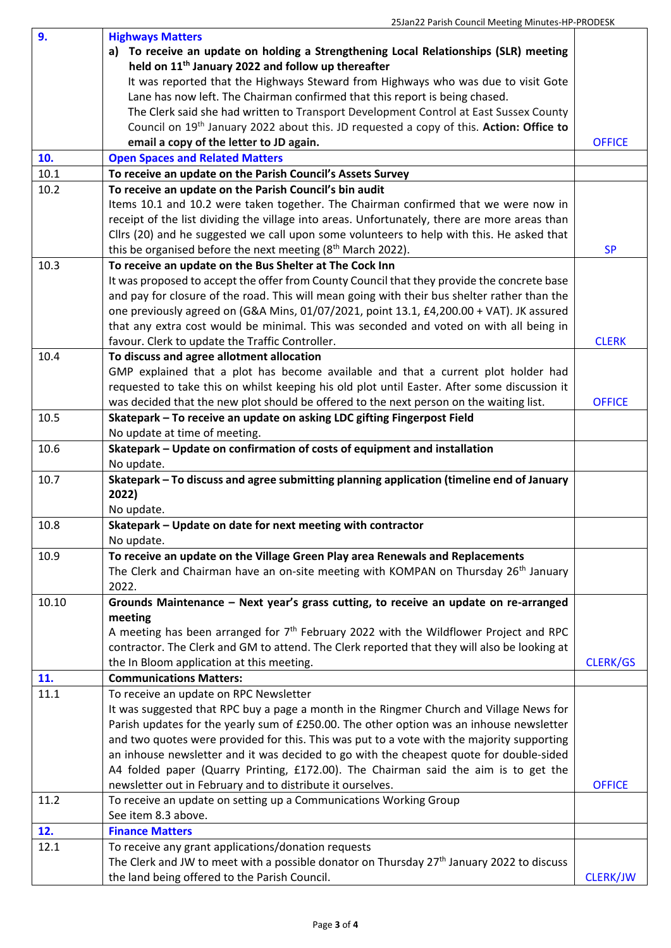| 9.    | <b>Highways Matters</b>                                                                               |                 |  |
|-------|-------------------------------------------------------------------------------------------------------|-----------------|--|
|       | a) To receive an update on holding a Strengthening Local Relationships (SLR) meeting                  |                 |  |
|       | held on 11 <sup>th</sup> January 2022 and follow up thereafter                                        |                 |  |
|       | It was reported that the Highways Steward from Highways who was due to visit Gote                     |                 |  |
|       | Lane has now left. The Chairman confirmed that this report is being chased.                           |                 |  |
|       | The Clerk said she had written to Transport Development Control at East Sussex County                 |                 |  |
|       | Council on 19 <sup>th</sup> January 2022 about this. JD requested a copy of this. Action: Office to   |                 |  |
|       | email a copy of the letter to JD again.                                                               | <b>OFFICE</b>   |  |
| 10.   | <b>Open Spaces and Related Matters</b>                                                                |                 |  |
| 10.1  | To receive an update on the Parish Council's Assets Survey                                            |                 |  |
| 10.2  | To receive an update on the Parish Council's bin audit                                                |                 |  |
|       | Items 10.1 and 10.2 were taken together. The Chairman confirmed that we were now in                   |                 |  |
|       | receipt of the list dividing the village into areas. Unfortunately, there are more areas than         |                 |  |
|       | Cllrs (20) and he suggested we call upon some volunteers to help with this. He asked that             |                 |  |
|       | this be organised before the next meeting (8 <sup>th</sup> March 2022).                               | <b>SP</b>       |  |
| 10.3  | To receive an update on the Bus Shelter at The Cock Inn                                               |                 |  |
|       | It was proposed to accept the offer from County Council that they provide the concrete base           |                 |  |
|       | and pay for closure of the road. This will mean going with their bus shelter rather than the          |                 |  |
|       | one previously agreed on (G&A Mins, 01/07/2021, point 13.1, £4,200.00 + VAT). JK assured              |                 |  |
|       | that any extra cost would be minimal. This was seconded and voted on with all being in                |                 |  |
|       | favour. Clerk to update the Traffic Controller.                                                       | <b>CLERK</b>    |  |
| 10.4  | To discuss and agree allotment allocation                                                             |                 |  |
|       | GMP explained that a plot has become available and that a current plot holder had                     |                 |  |
|       | requested to take this on whilst keeping his old plot until Easter. After some discussion it          |                 |  |
|       | was decided that the new plot should be offered to the next person on the waiting list.               | <b>OFFICE</b>   |  |
| 10.5  | Skatepark - To receive an update on asking LDC gifting Fingerpost Field                               |                 |  |
|       | No update at time of meeting.                                                                         |                 |  |
| 10.6  | Skatepark - Update on confirmation of costs of equipment and installation                             |                 |  |
|       | No update.                                                                                            |                 |  |
| 10.7  | Skatepark - To discuss and agree submitting planning application (timeline end of January             |                 |  |
|       | 2022)                                                                                                 |                 |  |
|       | No update.                                                                                            |                 |  |
| 10.8  | Skatepark - Update on date for next meeting with contractor                                           |                 |  |
|       | No update.                                                                                            |                 |  |
| 10.9  | To receive an update on the Village Green Play area Renewals and Replacements                         |                 |  |
|       | The Clerk and Chairman have an on-site meeting with KOMPAN on Thursday 26 <sup>th</sup> January       |                 |  |
|       | 2022.                                                                                                 |                 |  |
| 10.10 | Grounds Maintenance - Next year's grass cutting, to receive an update on re-arranged                  |                 |  |
|       | meeting                                                                                               |                 |  |
|       | A meeting has been arranged for $7th$ February 2022 with the Wildflower Project and RPC               |                 |  |
|       | contractor. The Clerk and GM to attend. The Clerk reported that they will also be looking at          |                 |  |
|       | the In Bloom application at this meeting.                                                             | <b>CLERK/GS</b> |  |
| 11.   | <b>Communications Matters:</b>                                                                        |                 |  |
| 11.1  | To receive an update on RPC Newsletter                                                                |                 |  |
|       | It was suggested that RPC buy a page a month in the Ringmer Church and Village News for               |                 |  |
|       | Parish updates for the yearly sum of £250.00. The other option was an inhouse newsletter              |                 |  |
|       | and two quotes were provided for this. This was put to a vote with the majority supporting            |                 |  |
|       | an inhouse newsletter and it was decided to go with the cheapest quote for double-sided               |                 |  |
|       | A4 folded paper (Quarry Printing, £172.00). The Chairman said the aim is to get the                   |                 |  |
|       | newsletter out in February and to distribute it ourselves.                                            | <b>OFFICE</b>   |  |
| 11.2  | To receive an update on setting up a Communications Working Group                                     |                 |  |
|       | See item 8.3 above.                                                                                   |                 |  |
| 12.   | <b>Finance Matters</b>                                                                                |                 |  |
| 12.1  | To receive any grant applications/donation requests                                                   |                 |  |
|       | The Clerk and JW to meet with a possible donator on Thursday 27 <sup>th</sup> January 2022 to discuss |                 |  |
|       | the land being offered to the Parish Council.                                                         | <b>CLERK/JW</b> |  |